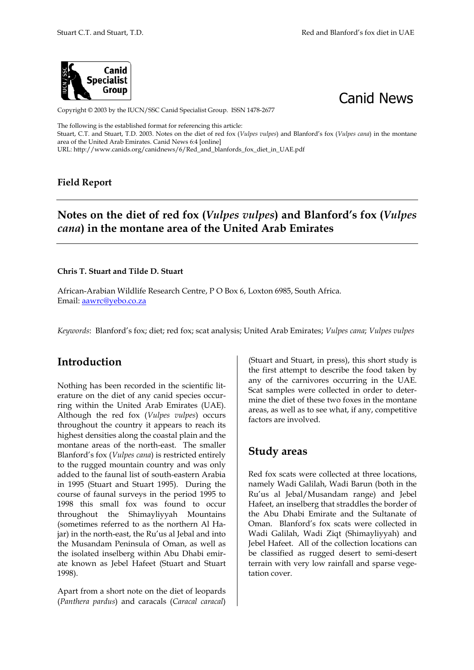



Copyright © 2003 by the IUCN/SSC Canid Specialist Group. ISSN 1478-2677

The following is the established format for referencing this article: Stuart, C.T. and Stuart, T.D. 2003. Notes on the diet of red fox (*Vulpes vulpes*) and Blanford's fox (*Vulpes cana*) in the montane area of the United Arab Emirates. Canid News 6:4 [online] URL: http://www.canids.org/canidnews/6/Red\_and\_blanfords\_fox\_diet\_in\_UAE.pdf

**Field Report** 

# **Notes on the diet of red fox (***Vulpes vulpes***) and Blanford's fox (***Vulpes cana***) in the montane area of the United Arab Emirates**

#### **Chris T. Stuart and Tilde D. Stuart**

African-Arabian Wildlife Research Centre, P O Box 6, Loxton 6985, South Africa. Email: aawrc@yebo.co.za

*Keywords*: Blanford's fox; diet; red fox; scat analysis; United Arab Emirates; *Vulpes cana*; *Vulpes vulpes*

### **Introduction**

Nothing has been recorded in the scientific literature on the diet of any canid species occurring within the United Arab Emirates (UAE). Although the red fox (*Vulpes vulpes*) occurs throughout the country it appears to reach its highest densities along the coastal plain and the montane areas of the north-east. The smaller Blanford's fox (*Vulpes cana*) is restricted entirely to the rugged mountain country and was only added to the faunal list of south-eastern Arabia in 1995 (Stuart and Stuart 1995). During the course of faunal surveys in the period 1995 to 1998 this small fox was found to occur throughout the Shimayliyyah Mountains (sometimes referred to as the northern Al Hajar) in the north-east, the Ru'us al Jebal and into the Musandam Peninsula of Oman, as well as the isolated inselberg within Abu Dhabi emirate known as Jebel Hafeet (Stuart and Stuart 1998).

Apart from a short note on the diet of leopards (*Panthera pardus*) and caracals (*Caracal caracal*) (Stuart and Stuart, in press), this short study is the first attempt to describe the food taken by any of the carnivores occurring in the UAE. Scat samples were collected in order to determine the diet of these two foxes in the montane areas, as well as to see what, if any, competitive factors are involved.

#### **Study areas**

Red fox scats were collected at three locations, namely Wadi Galilah, Wadi Barun (both in the Ru'us al Jebal/Musandam range) and Jebel Hafeet, an inselberg that straddles the border of the Abu Dhabi Emirate and the Sultanate of Oman. Blanford's fox scats were collected in Wadi Galilah, Wadi Ziqt (Shimayliyyah) and Jebel Hafeet. All of the collection locations can be classified as rugged desert to semi-desert terrain with very low rainfall and sparse vegetation cover.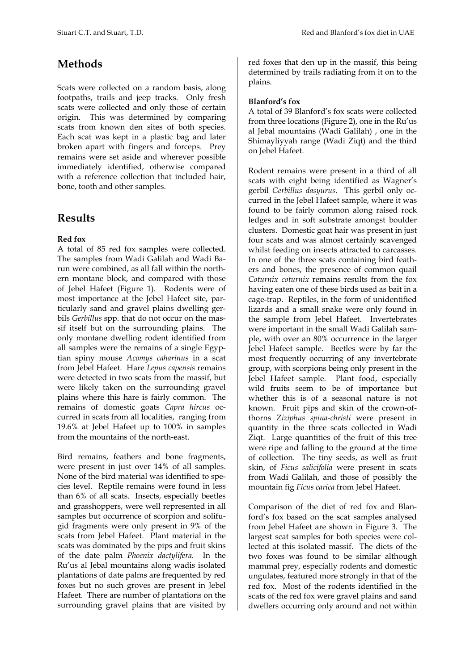# **Methods**

Scats were collected on a random basis, along footpaths, trails and jeep tracks. Only fresh scats were collected and only those of certain origin. This was determined by comparing scats from known den sites of both species. Each scat was kept in a plastic bag and later broken apart with fingers and forceps. Prey remains were set aside and wherever possible immediately identified, otherwise compared with a reference collection that included hair, bone, tooth and other samples.

# **Results**

### **Red fox**

A total of 85 red fox samples were collected. The samples from Wadi Galilah and Wadi Barun were combined, as all fall within the northern montane block, and compared with those of Jebel Hafeet (Figure 1). Rodents were of most importance at the Jebel Hafeet site, particularly sand and gravel plains dwelling gerbils *Gerbillus* spp. that do not occur on the massif itself but on the surrounding plains. The only montane dwelling rodent identified from all samples were the remains of a single Egyptian spiny mouse *Acomys caharinus* in a scat from Jebel Hafeet. Hare *Lepus capensis* remains were detected in two scats from the massif, but were likely taken on the surrounding gravel plains where this hare is fairly common. The remains of domestic goats *Capra hircus* occurred in scats from all localities, ranging from 19.6% at Jebel Hafeet up to 100% in samples from the mountains of the north-east.

Bird remains, feathers and bone fragments, were present in just over 14% of all samples. None of the bird material was identified to species level. Reptile remains were found in less than 6% of all scats. Insects, especially beetles and grasshoppers, were well represented in all samples but occurrence of scorpion and solifugid fragments were only present in 9% of the scats from Jebel Hafeet. Plant material in the scats was dominated by the pips and fruit skins of the date palm *Phoenix dactylifera*. In the Ru'us al Jebal mountains along wadis isolated plantations of date palms are frequented by red foxes but no such groves are present in Jebel Hafeet. There are number of plantations on the surrounding gravel plains that are visited by

red foxes that den up in the massif, this being determined by trails radiating from it on to the plains.

#### **Blanford's fox**

A total of 39 Blanford's fox scats were collected from three locations (Figure 2), one in the Ru'us al Jebal mountains (Wadi Galilah) , one in the Shimayliyyah range (Wadi Ziqt) and the third on Jebel Hafeet.

Rodent remains were present in a third of all scats with eight being identified as Wagner's gerbil *Gerbillus dasyurus*. This gerbil only occurred in the Jebel Hafeet sample, where it was found to be fairly common along raised rock ledges and in soft substrate amongst boulder clusters. Domestic goat hair was present in just four scats and was almost certainly scavenged whilst feeding on insects attracted to carcasses. In one of the three scats containing bird feathers and bones, the presence of common quail *Coturnix coturnix* remains results from the fox having eaten one of these birds used as bait in a cage-trap. Reptiles, in the form of unidentified lizards and a small snake were only found in the sample from Jebel Hafeet. Invertebrates were important in the small Wadi Galilah sample, with over an 80% occurrence in the larger Jebel Hafeet sample. Beetles were by far the most frequently occurring of any invertebrate group, with scorpions being only present in the Jebel Hafeet sample. Plant food, especially wild fruits seem to be of importance but whether this is of a seasonal nature is not known. Fruit pips and skin of the crown-ofthorns *Ziziphus spina-christi* were present in quantity in the three scats collected in Wadi Ziqt. Large quantities of the fruit of this tree were ripe and falling to the ground at the time of collection. The tiny seeds, as well as fruit skin, of *Ficus salicifolia* were present in scats from Wadi Galilah, and those of possibly the mountain fig *Ficus carica* from Jebel Hafeet.

Comparison of the diet of red fox and Blanford's fox based on the scat samples analysed from Jebel Hafeet are shown in Figure 3. The largest scat samples for both species were collected at this isolated massif. The diets of the two foxes was found to be similar although mammal prey, especially rodents and domestic ungulates, featured more strongly in that of the red fox. Most of the rodents identified in the scats of the red fox were gravel plains and sand dwellers occurring only around and not within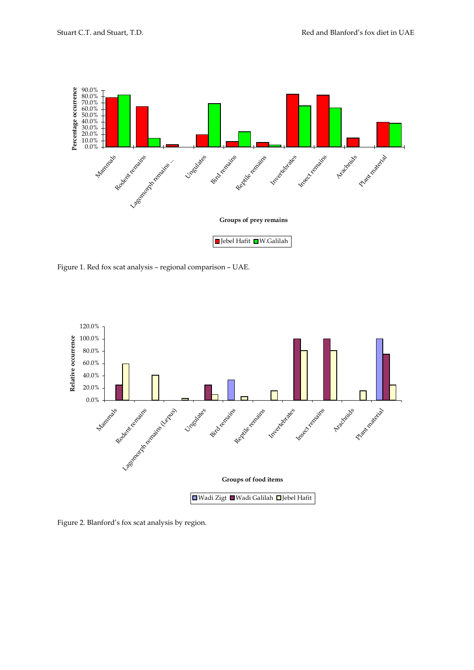

Figure 1. Red fox scat analysis – regional comparison – UAE.



Figure 2. Blanford's fox scat analysis by region.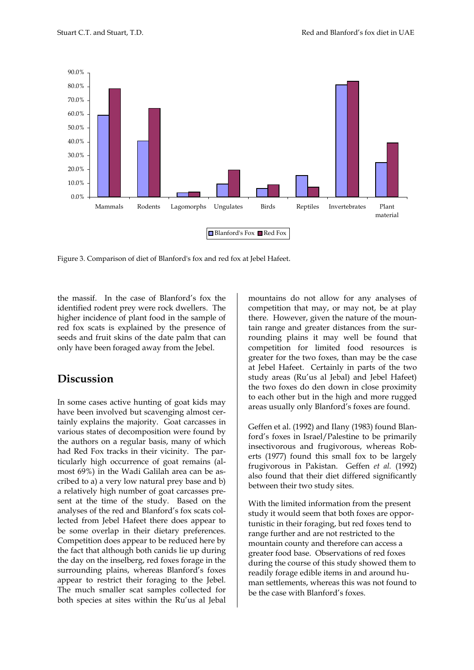

Figure 3. Comparison of diet of Blanford's fox and red fox at Jebel Hafeet.

the massif. In the case of Blanford's fox the identified rodent prey were rock dwellers. The higher incidence of plant food in the sample of red fox scats is explained by the presence of seeds and fruit skins of the date palm that can only have been foraged away from the Jebel.

### **Discussion**

In some cases active hunting of goat kids may have been involved but scavenging almost certainly explains the majority. Goat carcasses in various states of decomposition were found by the authors on a regular basis, many of which had Red Fox tracks in their vicinity. The particularly high occurrence of goat remains (almost 69%) in the Wadi Galilah area can be ascribed to a) a very low natural prey base and b) a relatively high number of goat carcasses present at the time of the study. Based on the analyses of the red and Blanford's fox scats collected from Jebel Hafeet there does appear to be some overlap in their dietary preferences. Competition does appear to be reduced here by the fact that although both canids lie up during the day on the inselberg, red foxes forage in the surrounding plains, whereas Blanford's foxes appear to restrict their foraging to the Jebel. The much smaller scat samples collected for both species at sites within the Ru'us al Jebal

mountains do not allow for any analyses of competition that may, or may not, be at play there. However, given the nature of the mountain range and greater distances from the surrounding plains it may well be found that competition for limited food resources is greater for the two foxes, than may be the case at Jebel Hafeet. Certainly in parts of the two study areas (Ru'us al Jebal) and Jebel Hafeet) the two foxes do den down in close proximity to each other but in the high and more rugged areas usually only Blanford's foxes are found.

Geffen et al. (1992) and Ilany (1983) found Blanford's foxes in Israel/Palestine to be primarily insectivorous and frugivorous, whereas Roberts (1977) found this small fox to be largely frugivorous in Pakistan. Geffen *et al.* (1992) also found that their diet differed significantly between their two study sites.

With the limited information from the present study it would seem that both foxes are opportunistic in their foraging, but red foxes tend to range further and are not restricted to the mountain county and therefore can access a greater food base. Observations of red foxes during the course of this study showed them to readily forage edible items in and around human settlements, whereas this was not found to be the case with Blanford's foxes.